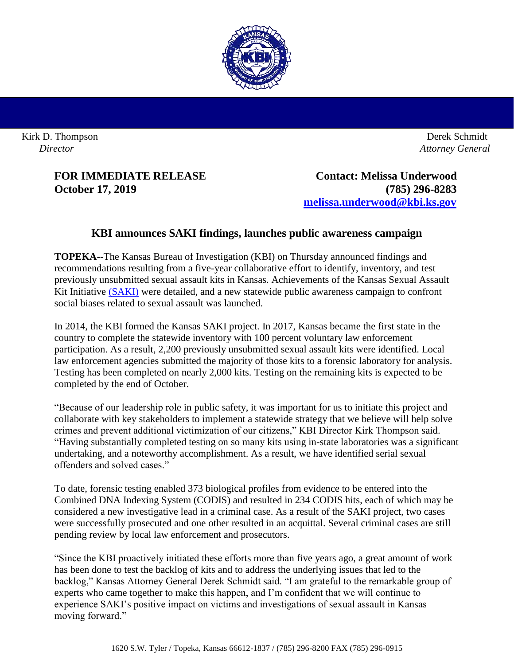

Kirk D. Thompson *Director*

 Derek Schmidt *Attorney General*

**FOR IMMEDIATE RELEASE Contact: Melissa Underwood October 17, 2019 (785) 296-8283 [melissa.underwood@kbi.ks.gov](mailto:melissa.underwood@kbi.ks.gov)**

## **KBI announces SAKI findings, launches public awareness campaign**

**TOPEKA--**The Kansas Bureau of Investigation (KBI) on Thursday announced findings and recommendations resulting from a five-year collaborative effort to identify, inventory, and test previously unsubmitted sexual assault kits in Kansas. Achievements of the Kansas Sexual Assault Kit Initiative [\(SAKI\)](http://www.accesskansas.org/kbi/saki.shtml) were detailed, and a new statewide public awareness campaign to confront social biases related to sexual assault was launched.

In 2014, the KBI formed the Kansas SAKI project. In 2017, Kansas became the first state in the country to complete the statewide inventory with 100 percent voluntary law enforcement participation. As a result, 2,200 previously unsubmitted sexual assault kits were identified. Local law enforcement agencies submitted the majority of those kits to a forensic laboratory for analysis. Testing has been completed on nearly 2,000 kits. Testing on the remaining kits is expected to be completed by the end of October.

"Because of our leadership role in public safety, it was important for us to initiate this project and collaborate with key stakeholders to implement a statewide strategy that we believe will help solve crimes and prevent additional victimization of our citizens," KBI Director Kirk Thompson said. "Having substantially completed testing on so many kits using in-state laboratories was a significant undertaking, and a noteworthy accomplishment. As a result, we have identified serial sexual offenders and solved cases."

To date, forensic testing enabled 373 biological profiles from evidence to be entered into the Combined DNA Indexing System (CODIS) and resulted in 234 CODIS hits, each of which may be considered a new investigative lead in a criminal case. As a result of the SAKI project, two cases were successfully prosecuted and one other resulted in an acquittal. Several criminal cases are still pending review by local law enforcement and prosecutors.

"Since the KBI proactively initiated these efforts more than five years ago, a great amount of work has been done to test the backlog of kits and to address the underlying issues that led to the backlog," Kansas Attorney General Derek Schmidt said. "I am grateful to the remarkable group of experts who came together to make this happen, and I'm confident that we will continue to experience SAKI's positive impact on victims and investigations of sexual assault in Kansas moving forward."